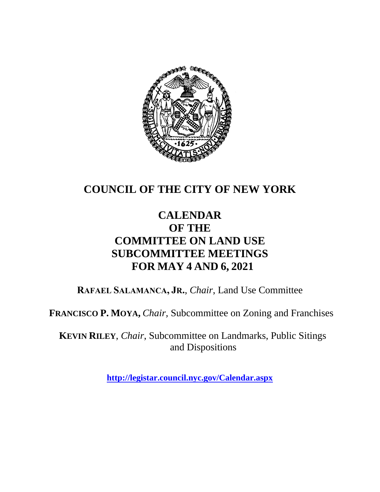

# **COUNCIL OF THE CITY OF NEW YORK**

# **CALENDAR OF THE COMMITTEE ON LAND USE SUBCOMMITTEE MEETINGS FOR MAY 4 AND 6, 2021**

**RAFAEL SALAMANCA, JR.**, *Chair*, Land Use Committee

**FRANCISCO P. MOYA,** *Chair,* Subcommittee on Zoning and Franchises

**KEVIN RILEY**, *Chair*, Subcommittee on Landmarks, Public Sitings and Dispositions

**<http://legistar.council.nyc.gov/Calendar.aspx>**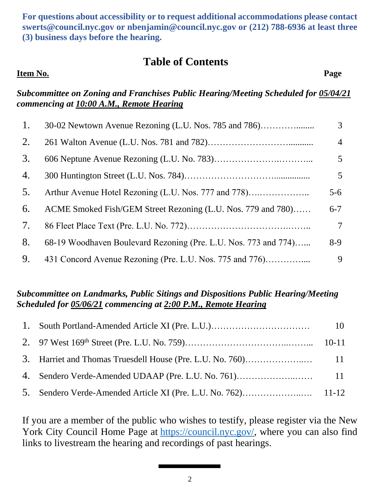**For questions about accessibility or to request additional accommodations please contact [swerts@council.nyc.gov](mailto:swerts@council.nyc.gov) or [nbenjamin@council.nyc.gov](mailto:nbenjamin@council.nyc.gov) or (212) 788-6936 at least three (3) business days before the hearing.**

# **Table of Contents**

#### **Item No. Page**

#### *Subcommittee on Zoning and Franchises Public Hearing/Meeting Scheduled for 05/04/21 commencing at 10:00 A.M., Remote Hearing*

| 1. | 30-02 Newtown Avenue Rezoning (L.U. Nos. 785 and 786)           | 3 <sup>1</sup> |
|----|-----------------------------------------------------------------|----------------|
| 2. |                                                                 | $\overline{4}$ |
| 3. |                                                                 | 5 <sup>5</sup> |
| 4. |                                                                 | $5^{\circ}$    |
| 5. | Arthur Avenue Hotel Rezoning (L.U. Nos. 777 and 778)            | $5 - 6$        |
| 6. | ACME Smoked Fish/GEM Street Rezoning (L.U. Nos. 779 and 780)    | $6 - 7$        |
| 7. |                                                                 | 7              |
| 8. | 68-19 Woodhaven Boulevard Rezoning (Pre. L.U. Nos. 773 and 774) | $8-9$          |
| 9. | 431 Concord Avenue Rezoning (Pre. L.U. Nos. 775 and 776)        | 9              |

#### *Subcommittee on Landmarks, Public Sitings and Dispositions Public Hearing/Meeting Scheduled for 05/06/21 commencing at 2:00 P.M., Remote Hearing*

If you are a member of the public who wishes to testify, please register via the New York City Council Home Page at [https://council.nyc.gov/,](https://council.nyc.gov/) where you can also find links to livestream the hearing and recordings of past hearings.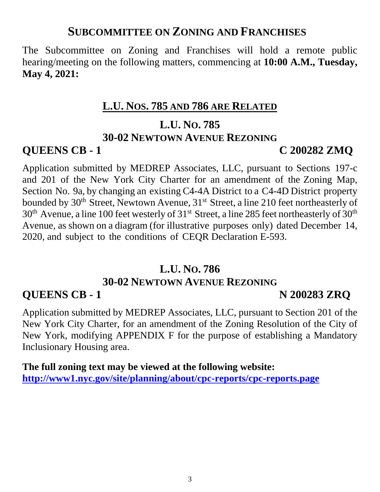# **SUBCOMMITTEE ON ZONING AND FRANCHISES**

The Subcommittee on Zoning and Franchises will hold a remote public hearing/meeting on the following matters, commencing at **10:00 A.M., Tuesday, May 4, 2021:**

#### **L.U. NOS. 785 AND 786 ARE RELATED**

#### **L.U. NO. 785**

#### **30-02 NEWTOWN AVENUE REZONING**

#### **QUEENS CB - 1 C 200282 ZMQ**

Application submitted by MEDREP Associates, LLC, pursuant to Sections 197-c and 201 of the New York City Charter for an amendment of the Zoning Map, Section No. 9a, by changing an existing C4-4A District to a C4-4D District property bounded by 30<sup>th</sup> Street, Newtown Avenue, 31<sup>st</sup> Street, a line 210 feet northeasterly of  $30<sup>th</sup>$  Avenue, a line 100 feet westerly of 31<sup>st</sup> Street, a line 285 feet northeasterly of 30<sup>th</sup> Avenue, as shown on a diagram (for illustrative purposes only) dated December 14, 2020, and subject to the conditions of CEQR Declaration E-593.

#### **L.U. NO. 786**

### **30-02 NEWTOWN AVENUE REZONING**

### **QUEENS CB - 1 N 200283 ZRQ**

Application submitted by MEDREP Associates, LLC, pursuant to Section 201 of the New York City Charter, for an amendment of the Zoning Resolution of the City of New York, modifying APPENDIX F for the purpose of establishing a Mandatory Inclusionary Housing area.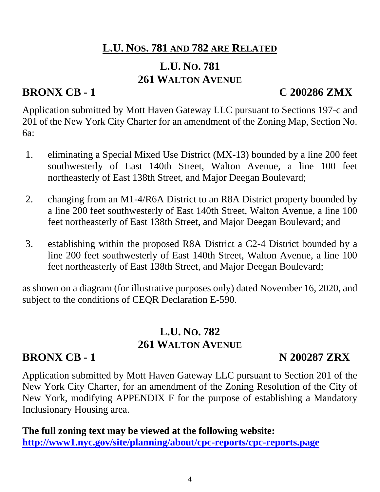# **L.U. NOS. 781 AND 782 ARE RELATED**

# **L.U. NO. 781 261 WALTON AVENUE**

# **BRONX CB - 1 C 200286 ZMX**

Application submitted by Mott Haven Gateway LLC pursuant to Sections 197-c and 201 of the New York City Charter for an amendment of the Zoning Map, Section No. 6a:

- 1. eliminating a Special Mixed Use District (MX-13) bounded by a line 200 feet southwesterly of East 140th Street, Walton Avenue, a line 100 feet northeasterly of East 138th Street, and Major Deegan Boulevard;
- 2. changing from an M1-4/R6A District to an R8A District property bounded by a line 200 feet southwesterly of East 140th Street, Walton Avenue, a line 100 feet northeasterly of East 138th Street, and Major Deegan Boulevard; and
- 3. establishing within the proposed R8A District a C2-4 District bounded by a line 200 feet southwesterly of East 140th Street, Walton Avenue, a line 100 feet northeasterly of East 138th Street, and Major Deegan Boulevard;

as shown on a diagram (for illustrative purposes only) dated November 16, 2020, and subject to the conditions of CEQR Declaration E-590.

# **L.U. NO. 782 261 WALTON AVENUE**

# **BRONX CB - 1 N 200287 ZRX**

Application submitted by Mott Haven Gateway LLC pursuant to Section 201 of the New York City Charter, for an amendment of the Zoning Resolution of the City of New York, modifying APPENDIX F for the purpose of establishing a Mandatory Inclusionary Housing area.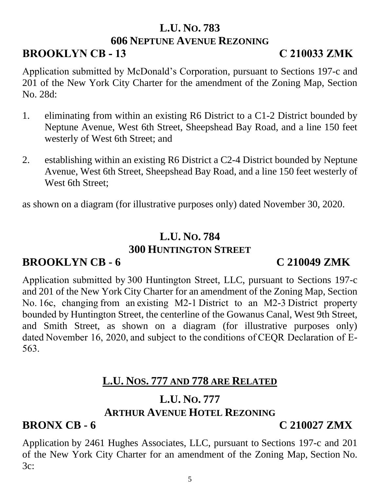# **L.U. NO. 783**

#### **606 NEPTUNE AVENUE REZONING**

# **BROOKLYN CB - 13 C 210033 ZMK**

Application submitted by McDonald's Corporation, pursuant to Sections 197-c and 201 of the New York City Charter for the amendment of the Zoning Map, Section No. 28d:

- 1. eliminating from within an existing R6 District to a C1-2 District bounded by Neptune Avenue, West 6th Street, Sheepshead Bay Road, and a line 150 feet westerly of West 6th Street; and
- 2. establishing within an existing R6 District a C2-4 District bounded by Neptune Avenue, West 6th Street, Sheepshead Bay Road, and a line 150 feet westerly of West 6th Street;

as shown on a diagram (for illustrative purposes only) dated November 30, 2020.

#### **L.U. NO. 784 300 HUNTINGTON STREET**

# **BROOKLYN CB - 6 C 210049 ZMK**

Application submitted by 300 Huntington Street, LLC, pursuant to Sections 197-c and 201 of the New York City Charter for an amendment of the Zoning Map, Section No. 16c, changing from an existing M2-1 District to an M2-3 District property bounded by Huntington Street, the centerline of the Gowanus Canal, West 9th Street, and Smith Street, as shown on a diagram (for illustrative purposes only) dated November 16, 2020, and subject to the conditions of CEQR Declaration of E-563. 

# **L.U. NOS. 777 AND 778 ARE RELATED**

#### **L.U. NO. 777 ARTHUR AVENUE HOTEL REZONING**

# **BRONX CB - 6 C 210027 ZMX**

Application by 2461 Hughes Associates, LLC, pursuant to Sections 197-c and 201 of the New York City Charter for an amendment of the Zoning Map, Section No. 3c: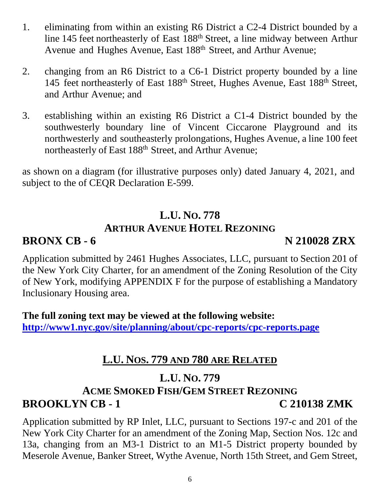- 1. eliminating from within an existing R6 District a C2-4 District bounded by a line 145 feet northeasterly of East 188th Street, a line midway between Arthur Avenue and Hughes Avenue, East 188<sup>th</sup> Street, and Arthur Avenue;
- 2. changing from an R6 District to a C6-1 District property bounded by a line 145 feet northeasterly of East 188th Street, Hughes Avenue, East 188th Street, and Arthur Avenue; and
- 3. establishing within an existing R6 District a C1-4 District bounded by the southwesterly boundary line of Vincent Ciccarone Playground and its northwesterly and southeasterly prolongations, Hughes Avenue, a line 100 feet northeasterly of East 188<sup>th</sup> Street, and Arthur Avenue;

as shown on a diagram (for illustrative purposes only) dated January 4, 2021, and subject to the of CEQR Declaration E-599.

# **L.U. NO. 778 ARTHUR AVENUE HOTEL REZONING**

# **BRONX CB - 6** N 210028 ZRX

Application submitted by 2461 Hughes Associates, LLC, pursuant to Section 201 of the New York City Charter, for an amendment of the Zoning Resolution of the City of New York, modifying APPENDIX F for the purpose of establishing a Mandatory Inclusionary Housing area.

**The full zoning text may be viewed at the following website: <http://www1.nyc.gov/site/planning/about/cpc-reports/cpc-reports.page>**

# **L.U. NOS. 779 AND 780 ARE RELATED**

# **L.U. NO. 779**

# **ACME SMOKED FISH/GEM STREET REZONING BROOKLYN CB - 1 C 210138 ZMK**

Application submitted by RP Inlet, LLC, pursuant to Sections 197-c and 201 of the New York City Charter for an amendment of the Zoning Map, Section Nos. 12c and 13a, changing from an M3-1 District to an M1-5 District property bounded by Meserole Avenue, Banker Street, Wythe Avenue, North 15th Street, and Gem Street,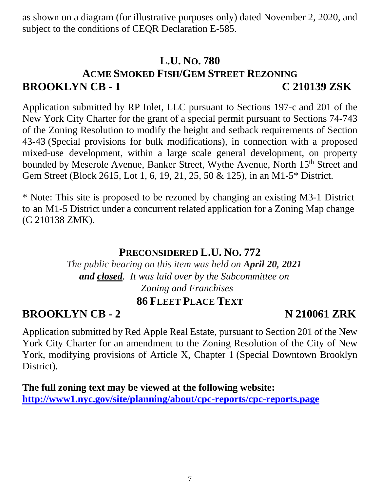as shown on a diagram (for illustrative purposes only) dated November 2, 2020, and subject to the conditions of CEQR Declaration E-585.

# **L.U. NO. 780 ACME SMOKED FISH/GEM STREET REZONING BROOKLYN CB - 1 C 210139 ZSK**

Application submitted by RP Inlet, LLC pursuant to Sections 197-c and 201 of the New York City Charter for the grant of a special permit pursuant to Sections 74-743 of the Zoning Resolution to modify the height and setback requirements of Section 43-43 (Special provisions for bulk modifications), in connection with a proposed mixed-use development, within a large scale general development, on property bounded by Meserole Avenue, Banker Street, Wythe Avenue, North 15<sup>th</sup> Street and Gem Street (Block 2615, Lot 1, 6, 19, 21, 25, 50 & 125), in an M1-5\* District.

\* Note: This site is proposed to be rezoned by changing an existing M3-1 District to an M1-5 District under a concurrent related application for a Zoning Map change (C 210138 ZMK).

### **PRECONSIDERED L.U. NO. 772**

*The public hearing on this item was held on April 20, 2021 and closed. It was laid over by the Subcommittee on Zoning and Franchises*

### **86 FLEET PLACE TEXT**

**BROOKLYN CB - 2** N 210061 ZRK

Application submitted by Red Apple Real Estate, pursuant to Section 201 of the New York City Charter for an amendment to the Zoning Resolution of the City of New York, modifying provisions of Article X, Chapter 1 (Special Downtown Brooklyn District).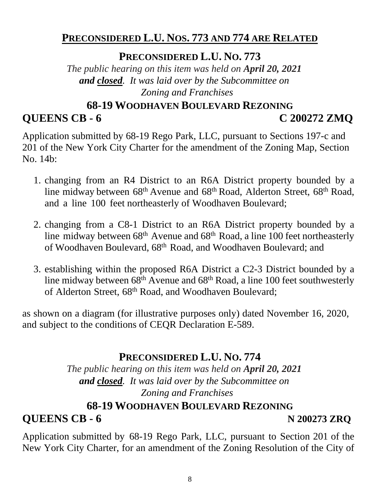# **PRECONSIDERED L.U. NOS. 773 AND 774 ARE RELATED**

**PRECONSIDERED L.U. NO. 773**

*The public hearing on this item was held on April 20, 2021 and closed. It was laid over by the Subcommittee on Zoning and Franchises*

# **68-19 WOODHAVEN BOULEVARD REZONING QUEENS CB - 6 C 200272 ZMQ**

Application submitted by 68-19 Rego Park, LLC, pursuant to Sections 197-c and 201 of the New York City Charter for the amendment of the Zoning Map, Section No. 14b:

- 1. changing from an R4 District to an R6A District property bounded by a line midway between 68<sup>th</sup> Avenue and 68<sup>th</sup> Road, Alderton Street, 68<sup>th</sup> Road, and a line 100 feet northeasterly of Woodhaven Boulevard;
- 2. changing from a C8-1 District to an R6A District property bounded by a line midway between  $68<sup>th</sup>$  Avenue and  $68<sup>th</sup>$  Road, a line 100 feet northeasterly of Woodhaven Boulevard, 68th Road, and Woodhaven Boulevard; and
- 3. establishing within the proposed R6A District a C2-3 District bounded by a line midway between  $68^{th}$  Avenue and  $68^{th}$  Road, a line 100 feet southwesterly of Alderton Street, 68<sup>th</sup> Road, and Woodhaven Boulevard;

as shown on a diagram (for illustrative purposes only) dated November 16, 2020, and subject to the conditions of CEQR Declaration E-589.

# **PRECONSIDERED L.U. NO. 774**

*The public hearing on this item was held on April 20, 2021 and closed. It was laid over by the Subcommittee on Zoning and Franchises*

### **68-19 WOODHAVEN BOULEVARD REZONING**

# **QUEENS CB - 6 N 200273 ZRQ**

Application submitted by 68-19 Rego Park, LLC, pursuant to Section 201 of the New York City Charter, for an amendment of the Zoning Resolution of the City of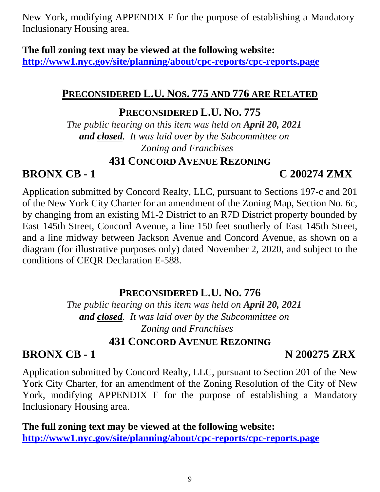New York, modifying APPENDIX F for the purpose of establishing a Mandatory Inclusionary Housing area.

#### **The full zoning text may be viewed at the following website:**

**<http://www1.nyc.gov/site/planning/about/cpc-reports/cpc-reports.page>**

# **PRECONSIDERED L.U. NOS. 775 AND 776 ARE RELATED**

### **PRECONSIDERED L.U. NO. 775**

*The public hearing on this item was held on April 20, 2021 and closed. It was laid over by the Subcommittee on Zoning and Franchises*

#### **431 CONCORD AVENUE REZONING**

# **BRONX CB - 1 C 200274 ZMX**

Application submitted by Concord Realty, LLC, pursuant to Sections 197-c and 201 of the New York City Charter for an amendment of the Zoning Map, Section No. 6c, by changing from an existing M1-2 District to an R7D District property bounded by East 145th Street, Concord Avenue, a line 150 feet southerly of East 145th Street, and a line midway between Jackson Avenue and Concord Avenue, as shown on a diagram (for illustrative purposes only) dated November 2, 2020, and subject to the conditions of CEQR Declaration E-588.

# **PRECONSIDERED L.U. NO. 776**

*The public hearing on this item was held on April 20, 2021 and closed. It was laid over by the Subcommittee on Zoning and Franchises*

### **431 CONCORD AVENUE REZONING**

# **BRONX CB - 1 N 200275 ZRX**

Application submitted by Concord Realty, LLC, pursuant to Section 201 of the New York City Charter, for an amendment of the Zoning Resolution of the City of New York, modifying APPENDIX F for the purpose of establishing a Mandatory Inclusionary Housing area.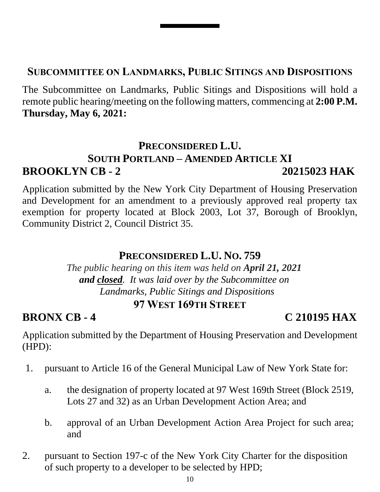#### **SUBCOMMITTEE ON LANDMARKS, PUBLIC SITINGS AND DISPOSITIONS**

The Subcommittee on Landmarks, Public Sitings and Dispositions will hold a remote public hearing/meeting on the following matters, commencing at **2:00 P.M. Thursday, May 6, 2021:**

# **PRECONSIDERED L.U.**

# **SOUTH PORTLAND – AMENDED ARTICLE XI BROOKLYN CB - 2 20215023 HAK**

Application submitted by the New York City Department of Housing Preservation and Development for an amendment to a previously approved real property tax exemption for property located at Block 2003, Lot 37, Borough of Brooklyn, Community District 2, Council District 35.

#### **PRECONSIDERED L.U. NO. 759**

*The public hearing on this item was held on April 21, 2021 and closed. It was laid over by the Subcommittee on Landmarks, Public Sitings and Dispositions* **97 WEST 169TH STREET**

# **BRONX CB - 4 C 210195 HAX**

Application submitted by the Department of Housing Preservation and Development (HPD):

- 1. pursuant to Article 16 of the General Municipal Law of New York State for:
	- a. the designation of property located at 97 West 169th Street (Block 2519, Lots 27 and 32) as an Urban Development Action Area; and
	- b. approval of an Urban Development Action Area Project for such area; and
- 2. pursuant to Section 197-c of the New York City Charter for the disposition of such property to a developer to be selected by HPD;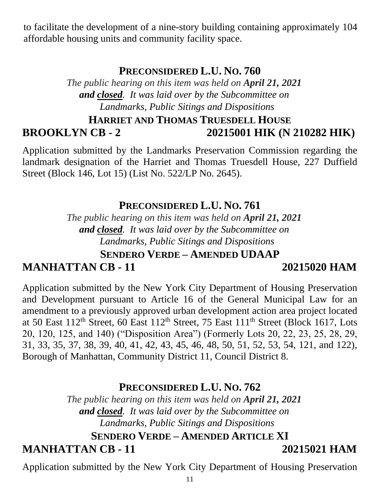to facilitate the development of a nine-story building containing approximately 104 affordable housing units and community facility space.

### **PRECONSIDERED L.U. NO. 760**

*The public hearing on this item was held on April 21, 2021 and closed. It was laid over by the Subcommittee on Landmarks, Public Sitings and Dispositions*

# **HARRIET AND THOMAS TRUESDELL HOUSE BROOKLYN CB - 2 20215001 HIK (N 210282 HIK)**

Application submitted by the Landmarks Preservation Commission regarding the landmark designation of the Harriet and Thomas Truesdell House, 227 Duffield Street (Block 146, Lot 15) (List No. 522/LP No. 2645).

#### **PRECONSIDERED L.U. NO. 761**

*The public hearing on this item was held on April 21, 2021 and closed. It was laid over by the Subcommittee on Landmarks, Public Sitings and Dispositions*

# **SENDERO VERDE – AMENDED UDAAP**

# **MANHATTAN CB - 11 20215020 HAM**

Application submitted by the New York City Department of Housing Preservation and Development pursuant to Article 16 of the General Municipal Law for an amendment to a previously approved urban development action area project located at 50 East  $112<sup>th</sup>$  Street, 60 East  $112<sup>th</sup>$  Street, 75 East  $111<sup>th</sup>$  Street (Block 1617, Lots 20, 120, 125, and 140) ("Disposition Area") (Formerly Lots 20, 22, 23, 25, 28, 29, 31, 33, 35, 37, 38, 39, 40, 41, 42, 43, 45, 46, 48, 50, 51, 52, 53, 54, 121, and 122), Borough of Manhattan, Community District 11, Council District 8.

### **PRECONSIDERED L.U. NO. 762**

*The public hearing on this item was held on April 21, 2021 and closed. It was laid over by the Subcommittee on Landmarks, Public Sitings and Dispositions*

#### **SENDERO VERDE – AMENDED ARTICLE XI**

### **MANHATTAN CB - 11 20215021 HAM**

Application submitted by the New York City Department of Housing Preservation